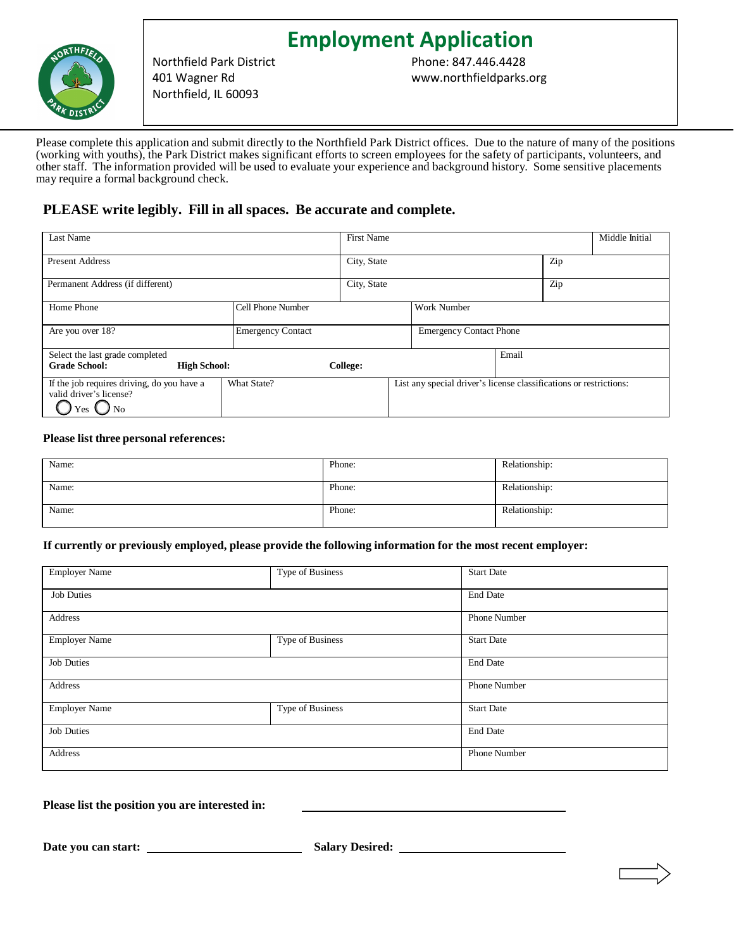

Northfield Park District 401 Wagner Rd Northfield, IL 60093

**Employment Application** Phone: 847.446.4428 www.northfieldparks.org

Please complete this application and submit directly to the Northfield Park District offices. Due to the nature of many of the positions (working with youths), the Park District makes significant efforts to screen employees for the safety of participants, volunteers, and other staff. The information provided will be used to evaluate your experience and background history. Some sensitive placements may require a formal background check.

# **PLEASE write legibly. Fill in all spaces. Be accurate and complete.**

| Last Name                                                                            |                          | <b>First Name</b> |                                                                    |       |     | Middle Initial |
|--------------------------------------------------------------------------------------|--------------------------|-------------------|--------------------------------------------------------------------|-------|-----|----------------|
| <b>Present Address</b>                                                               |                          | City, State       |                                                                    |       | Zip |                |
| Permanent Address (if different)                                                     |                          | City, State       |                                                                    |       | Zip |                |
| Home Phone                                                                           | Cell Phone Number        |                   | <b>Work Number</b>                                                 |       |     |                |
| Are you over 18?                                                                     | <b>Emergency Contact</b> |                   | <b>Emergency Contact Phone</b>                                     |       |     |                |
| Select the last grade completed                                                      |                          |                   |                                                                    | Email |     |                |
| <b>Grade School:</b><br><b>High School:</b>                                          |                          | College:          |                                                                    |       |     |                |
| If the job requires driving, do you have a<br>valid driver's license?<br>' No<br>Yes | What State?              |                   | List any special driver's license classifications or restrictions: |       |     |                |

## **Please list three personal references:**

| Name: | Phone: | Relationship: |
|-------|--------|---------------|
| Name: | Phone: | Relationship: |
| Name: | Phone: | Relationship: |

#### **If currently or previously employed, please provide the following information for the most recent employer:**

| <b>Employer Name</b> | Type of Business | <b>Start Date</b>   |
|----------------------|------------------|---------------------|
| <b>Job Duties</b>    |                  | <b>End Date</b>     |
| Address              |                  | <b>Phone Number</b> |
| <b>Employer Name</b> | Type of Business | <b>Start Date</b>   |
| <b>Job Duties</b>    |                  | <b>End Date</b>     |
| Address              |                  | Phone Number        |
| <b>Employer Name</b> | Type of Business | <b>Start Date</b>   |
| <b>Job Duties</b>    |                  | <b>End Date</b>     |
| Address              |                  | Phone Number        |

**Please list the position you are interested in:** 

**Date you can start: Salary Desired:**